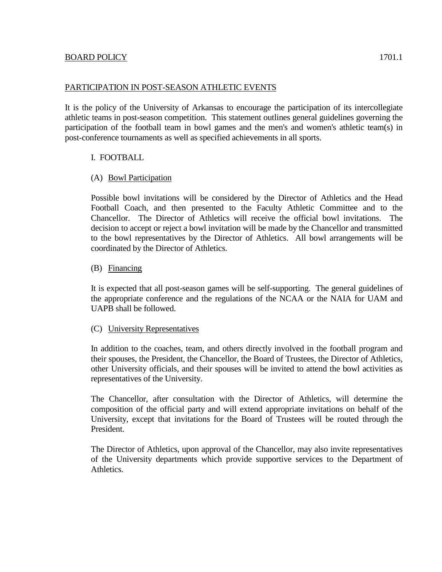## PARTICIPATION IN POST-SEASON ATHLETIC EVENTS

It is the policy of the University of Arkansas to encourage the participation of its intercollegiate athletic teams in post-season competition. This statement outlines general guidelines governing the participation of the football team in bowl games and the men's and women's athletic team(s) in post-conference tournaments as well as specified achievements in all sports.

# I. FOOTBALL

## (A) Bowl Participation

Possible bowl invitations will be considered by the Director of Athletics and the Head Football Coach, and then presented to the Faculty Athletic Committee and to the Chancellor. The Director of Athletics will receive the official bowl invitations. The decision to accept or reject a bowl invitation will be made by the Chancellor and transmitted to the bowl representatives by the Director of Athletics. All bowl arrangements will be coordinated by the Director of Athletics.

## (B) Financing

It is expected that all post-season games will be self-supporting. The general guidelines of the appropriate conference and the regulations of the NCAA or the NAIA for UAM and UAPB shall be followed.

#### (C) University Representatives

In addition to the coaches, team, and others directly involved in the football program and their spouses, the President, the Chancellor, the Board of Trustees, the Director of Athletics, other University officials, and their spouses will be invited to attend the bowl activities as representatives of the University.

The Chancellor, after consultation with the Director of Athletics, will determine the composition of the official party and will extend appropriate invitations on behalf of the University, except that invitations for the Board of Trustees will be routed through the President.

The Director of Athletics, upon approval of the Chancellor, may also invite representatives of the University departments which provide supportive services to the Department of Athletics.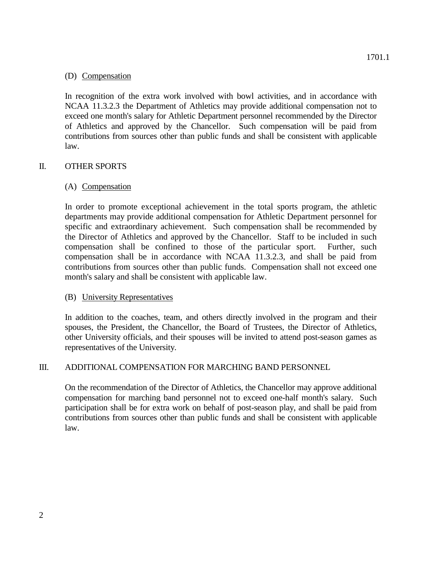#### (D) Compensation

In recognition of the extra work involved with bowl activities, and in accordance with NCAA 11.3.2.3 the Department of Athletics may provide additional compensation not to exceed one month's salary for Athletic Department personnel recommended by the Director of Athletics and approved by the Chancellor. Such compensation will be paid from contributions from sources other than public funds and shall be consistent with applicable law.

## II. OTHER SPORTS

## (A) Compensation

In order to promote exceptional achievement in the total sports program, the athletic departments may provide additional compensation for Athletic Department personnel for specific and extraordinary achievement. Such compensation shall be recommended by the Director of Athletics and approved by the Chancellor. Staff to be included in such compensation shall be confined to those of the particular sport. Further, such compensation shall be in accordance with NCAA 11.3.2.3, and shall be paid from contributions from sources other than public funds. Compensation shall not exceed one month's salary and shall be consistent with applicable law.

#### (B) University Representatives

In addition to the coaches, team, and others directly involved in the program and their spouses, the President, the Chancellor, the Board of Trustees, the Director of Athletics, other University officials, and their spouses will be invited to attend post-season games as representatives of the University.

# III. ADDITIONAL COMPENSATION FOR MARCHING BAND PERSONNEL

On the recommendation of the Director of Athletics, the Chancellor may approve additional compensation for marching band personnel not to exceed one-half month's salary. Such participation shall be for extra work on behalf of post-season play, and shall be paid from contributions from sources other than public funds and shall be consistent with applicable law.